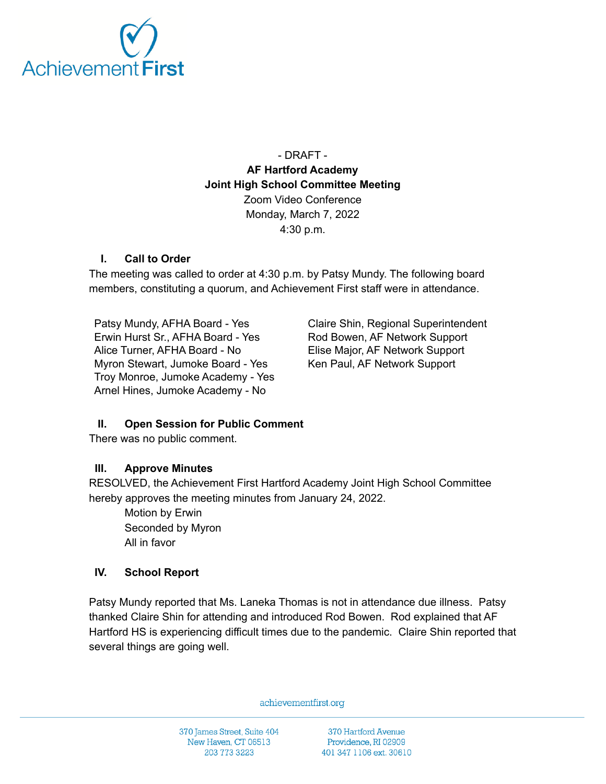

- DRAFT - **AF Hartford Academy Joint High School Committee Meeting** Zoom Video Conference Monday, March 7, 2022 4:30 p.m.

### **I. Call to Order**

The meeting was called to order at 4:30 p.m. by Patsy Mundy. The following board members, constituting a quorum, and Achievement First staff were in attendance.

Patsy Mundy, AFHA Board - Yes Erwin Hurst Sr., AFHA Board - Yes Alice Turner, AFHA Board - No Myron Stewart, Jumoke Board - Yes Troy Monroe, Jumoke Academy - Yes Arnel Hines, Jumoke Academy - No

Claire Shin, Regional Superintendent Rod Bowen, AF Network Support Elise Major, AF Network Support Ken Paul, AF Network Support

### **II. Open Session for Public Comment**

There was no public comment.

#### **III. Approve Minutes**

RESOLVED, the Achievement First Hartford Academy Joint High School Committee hereby approves the meeting minutes from January 24, 2022.

Motion by Erwin Seconded by Myron All in favor

#### **IV. School Report**

Patsy Mundy reported that Ms. Laneka Thomas is not in attendance due illness. Patsy thanked Claire Shin for attending and introduced Rod Bowen. Rod explained that AF Hartford HS is experiencing difficult times due to the pandemic. Claire Shin reported that several things are going well.

achievementfirst.org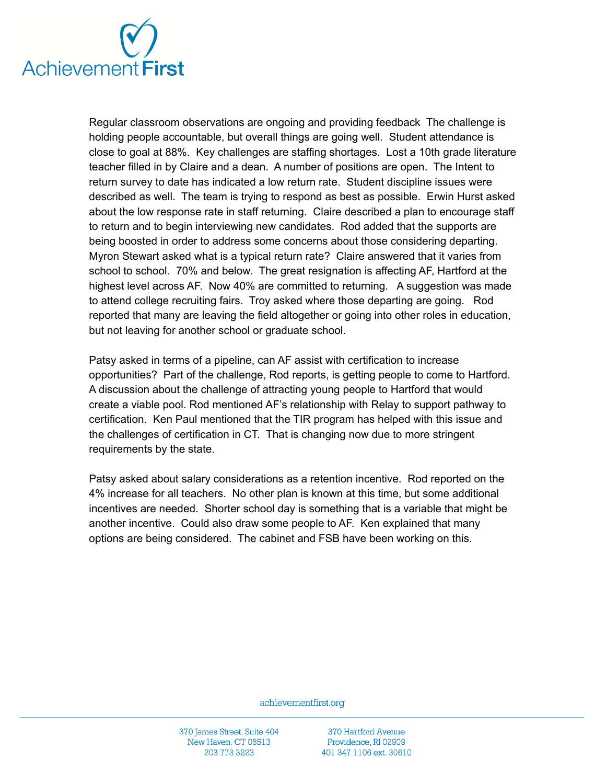

Regular classroom observations are ongoing and providing feedback The challenge is holding people accountable, but overall things are going well. Student attendance is close to goal at 88%. Key challenges are staffing shortages. Lost a 10th grade literature teacher filled in by Claire and a dean. A number of positions are open. The Intent to return survey to date has indicated a low return rate. Student discipline issues were described as well. The team is trying to respond as best as possible. Erwin Hurst asked about the low response rate in staff returning. Claire described a plan to encourage staff to return and to begin interviewing new candidates. Rod added that the supports are being boosted in order to address some concerns about those considering departing. Myron Stewart asked what is a typical return rate? Claire answered that it varies from school to school. 70% and below. The great resignation is affecting AF, Hartford at the highest level across AF. Now 40% are committed to returning. A suggestion was made to attend college recruiting fairs. Troy asked where those departing are going. Rod reported that many are leaving the field altogether or going into other roles in education, but not leaving for another school or graduate school.

Patsy asked in terms of a pipeline, can AF assist with certification to increase opportunities? Part of the challenge, Rod reports, is getting people to come to Hartford. A discussion about the challenge of attracting young people to Hartford that would create a viable pool. Rod mentioned AF's relationship with Relay to support pathway to certification. Ken Paul mentioned that the TIR program has helped with this issue and the challenges of certification in CT. That is changing now due to more stringent requirements by the state.

Patsy asked about salary considerations as a retention incentive. Rod reported on the 4% increase for all teachers. No other plan is known at this time, but some additional incentives are needed. Shorter school day is something that is a variable that might be another incentive. Could also draw some people to AF. Ken explained that many options are being considered. The cabinet and FSB have been working on this.

achievementfirst.org

370 James Street, Suite 404 New Haven, CT 06513 203 773 3223

370 Hartford Avenue Providence, RI 02909 401 347 1106 ext. 30610